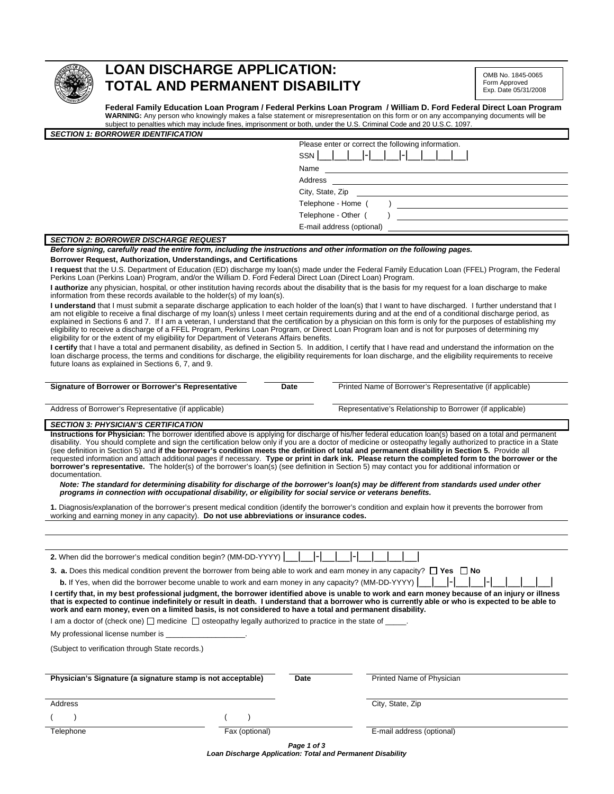

# **LOAN DISCHARGE APPLICATION: TOTAL AND PERMANENT DISABILITY**

OMB No. 1845-0065 Form Approved Exp. Date 05/31/2008

**Federal Family Education Loan Program / Federal Perkins Loan Program / William D. Ford Federal Direct Loan Program WARNING:** Any person who knowingly makes a false statement or misrepresentation on this form or on any accompanying documents will be subject to penalties which may include fines, imprisonment or both, under the U.S. Criminal Code and 20 U.S.C. 1097.

| <b>SECTION 1: BORROWER IDENTIFICATION</b>    |                                                       |
|----------------------------------------------|-------------------------------------------------------|
|                                              | Please enter or correct the following information.    |
|                                              | $1$ 1-1 1 1 1<br>$\vert \vert$ $\vert$ $\vert$<br>SSN |
|                                              | Name                                                  |
|                                              | Address                                               |
|                                              | City, State, Zip                                      |
|                                              | Telephone - Home (                                    |
|                                              | Telephone - Other (                                   |
|                                              | E-mail address (optional)                             |
| <b>SECTION 2: BORROWER DISCHARGE REQUEST</b> |                                                       |

#### *Before signing, carefully read the entire form, including the instructions and other information on the following pages.*

**Borrower Request, Authorization, Understandings, and Certifications** 

**I request** that the U.S. Department of Education (ED) discharge my loan(s) made under the Federal Family Education Loan (FFEL) Program, the Federal Perkins Loan (Perkins Loan) Program, and/or the William D. Ford Federal Direct Loan (Direct Loan) Program.

**I authorize** any physician, hospital, or other institution having records about the disability that is the basis for my request for a loan discharge to make information from these records available to the holder(s) of my loan(s).

**I understand** that I must submit a separate discharge application to each holder of the loan(s) that I want to have discharged. I further understand that I am not eligible to receive a final discharge of my loan(s) unless I meet certain requirements during and at the end of a conditional discharge period, as<br>explained in Sections 6 and 7. If I am a veteran, I understand that eligibility to receive a discharge of a FFEL Program, Perkins Loan Program, or Direct Loan Program loan and is not for purposes of determining my eligibility for or the extent of my eligibility for Department of Veterans Affairs benefits.

I certify that I have a total and permanent disability, as defined in Section 5. In addition, I certify that I have read and understand the information on the loan discharge process, the terms and conditions for discharge, the eligibility requirements for loan discharge, and the eligibility requirements to receive future loans as explained in Sections 6, 7, and 9.

**Date** Printed Name of Borrower's Representative (if applicable)

Address of Borrower's Representative (if applicable) Representative's Relationship to Borrower (if applicable)

### *SECTION 3: PHYSICIAN'S CERTIFICATION*

**Instructions for Physician:** The borrower identified above is applying for discharge of his/her federal education loan(s) based on a total and permanent disability. You should complete and sign the certification below only if you are a doctor of medicine or osteopathy legally authorized to practice in a State (see definition in Section 5) and **if the borrower's condition meets the definition of total and permanent disability in Section 5.** Provide all requested information and attach additional pages if necessary. **Type or print in dark ink. Please return the completed form to the borrower or the borrower's representative.** The holder(s) of the borrower's loan(s) (see definition in Section 5) may contact you for additional information or documentation.

*Note: The standard for determining disability for discharge of the borrower's loan(s) may be different from standards used under other programs in connection with occupational disability, or eligibility for social service or veterans benefits.*

**1.** Diagnosis/explanation of the borrower's present medical condition (identify the borrower's condition and explain how it prevents the borrower from working and earning money in any capacity). **Do not use abbreviations or insurance codes.** 

| 2. When did the borrower's medical condition begin? (MM-DD-YYYY)                                                                                                                                                                                                                                                                                                                                                   |                |             |                           |  |  |
|--------------------------------------------------------------------------------------------------------------------------------------------------------------------------------------------------------------------------------------------------------------------------------------------------------------------------------------------------------------------------------------------------------------------|----------------|-------------|---------------------------|--|--|
| <b>3.</b> a. Does this medical condition prevent the borrower from being able to work and earn money in any capacity? $\Box$ Yes $\Box$ No                                                                                                                                                                                                                                                                         |                |             |                           |  |  |
| <b>b.</b> If Yes, when did the borrower become unable to work and earn money in any capacity? (MM-DD-YYYY) $\begin{bmatrix} - & - \end{bmatrix}$                                                                                                                                                                                                                                                                   |                |             |                           |  |  |
| l certify that, in my best professional judgment, the borrower identified above is unable to work and earn money because of an injury or illness<br>that is expected to continue indefinitely or result in death. I understand that a borrower who is currently able or who is expected to be able to<br>work and earn money, even on a limited basis, is not considered to have a total and permanent disability. |                |             |                           |  |  |
| I am a doctor of (check one) $\Box$ medicine $\Box$ osteopathy legally authorized to practice in the state of $\Box$ .                                                                                                                                                                                                                                                                                             |                |             |                           |  |  |
| My professional license number is ______________________.                                                                                                                                                                                                                                                                                                                                                          |                |             |                           |  |  |
| (Subject to verification through State records.)                                                                                                                                                                                                                                                                                                                                                                   |                |             |                           |  |  |
|                                                                                                                                                                                                                                                                                                                                                                                                                    |                |             |                           |  |  |
| Physician's Signature (a signature stamp is not acceptable)                                                                                                                                                                                                                                                                                                                                                        |                | Date        | Printed Name of Physician |  |  |
|                                                                                                                                                                                                                                                                                                                                                                                                                    |                |             |                           |  |  |
| Address                                                                                                                                                                                                                                                                                                                                                                                                            |                |             | City, State, Zip          |  |  |
|                                                                                                                                                                                                                                                                                                                                                                                                                    |                |             |                           |  |  |
| Telephone                                                                                                                                                                                                                                                                                                                                                                                                          | Fax (optional) |             | E-mail address (optional) |  |  |
|                                                                                                                                                                                                                                                                                                                                                                                                                    |                | Page 1 of 3 |                           |  |  |

*Loan Discharge Application: Total and Permanent Disability*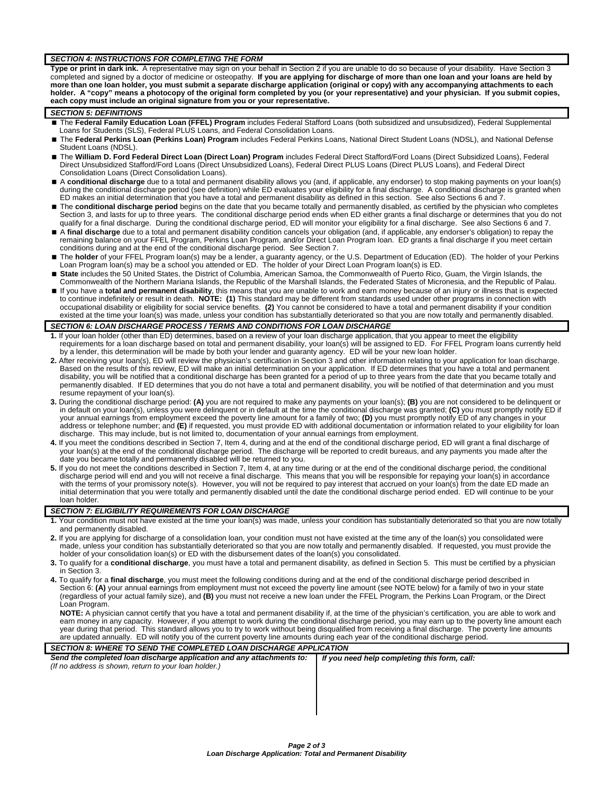#### *SECTION 4: INSTRUCTIONS FOR COMPLETING THE FORM*

**Type or print in dark ink.** A representative may sign on your behalf in Section 2 if you are unable to do so because of your disability. Have Section 3 completed and signed by a doctor of medicine or osteopathy. **If you are applying for discharge of more than one loan and your loans are held by more than one loan holder, you must submit a separate discharge application (original or copy) with any accompanying attachments to each**  holder. A "copy" means a photocopy of the original form completed by you (or your representative) and your physician. If you submit copies, **each copy must include an original signature from you or your representative.**

#### *SECTION 5: DEFINITIONS*

- The Federal Family Education Loan (FFEL) Program includes Federal Stafford Loans (both subsidized and unsubsidized), Federal Supplemental Loans for Students (SLS), Federal PLUS Loans, and Federal Consolidation Loans.
- The **Federal Perkins Loan (Perkins Loan) Program** includes Federal Perkins Loans, National Direct Student Loans (NDSL), and National Defense Student Loans (NDSL).
- The **William D. Ford Federal Direct Loan (Direct Loan) Program** includes Federal Direct Stafford/Ford Loans (Direct Subsidized Loans), Federal Direct Unsubsidized Stafford/Ford Loans (Direct Unsubsidized Loans), Federal Direct PLUS Loans (Direct PLUS Loans), and Federal Direct Consolidation Loans (Direct Consolidation Loans).
- A **conditional discharge** due to a total and permanent disability allows you (and, if applicable, any endorser) to stop making payments on your loan(s) during the conditional discharge period (see definition) while ED evaluates your eligibility for a final discharge. A conditional discharge is granted when ED makes an initial determination that you have a total and permanent disability as defined in this section. See also Sections 6 and 7.
- The conditional discharge period begins on the date that you became totally and permanently disabled, as certified by the physician who completes<br>Section 3, and lasts for up to three years. The conditional discharge period qualify for a final discharge. During the conditional discharge period, ED will monitor your eligibility for a final discharge. See also Sections 6 and 7.
- A final discharge due to a total and permanent disability condition cancels your obligation (and, if applicable, any endorser's obligation) to repay the remaining balance on your FFEL Program, Perkins Loan Program, and/or Direct Loan Program loan. ED grants a final discharge if you meet certain conditions during and at the end of the conditional discharge period. See Section 7.
- The **holder** of your FFEL Program loan(s) may be a lender, a guaranty agency, or the U.S. Department of Education (ED). The holder of your Perkins Loan Program loan(s) may be a school you attended or ED. The holder of your Direct Loan Program loan(s) is ED.
- **State** includes the 50 United States, the District of Columbia, American Samoa, the Commonwealth of Puerto Rico, Guam, the Virgin Islands, the Commonwealth of the Northern Mariana Islands, the Republic of the Marshall Islands, the Federated States of Micronesia, and the Republic of Palau.
- If you have a **total and permanent disability**, this means that you are unable to work and earn money because of an injury or illness that is expected to continue indefinitely or result in death. **NOTE: (1)** This standard may be different from standards used under other programs in connection with occupational disability or eligibility for social service benefits. **(2)** You cannot be considered to have a total and permanent disability if your condition existed at the time your loan(s) was made, unless your condition has substantially deteriorated so that you are now totally and permanently disabled.

## **SECTION 6: LOAN DISCHARGE PROCESS / TERMS AND CONDITIONS FOR LOAN DISCHARGE**

- **1.** If your loan holder (other than ED) determines, based on a review of your loan discharge application, that you appear to meet the eligibility requirements for a loan discharge based on total and permanent disability, your loan(s) will be assigned to ED. For FFEL Program loans currently held by a lender, this determination will be made by both your lender and guaranty agency. ED will be your new loan holder.
- **2.** After receiving your loan(s), ED will review the physician's certification in Section 3 and other information relating to your application for loan discharge. Based on the results of this review, ED will make an initial determination on your application. If ED determines that you have a total and permanent disability, you will be notified that a conditional discharge has been granted for a period of up to three years from the date that you became totally and<br>permanently disabled. If ED determines that you do not have a total resume repayment of your loan(s).
- **3.** During the conditional discharge period: **(A)** you are not required to make any payments on your loan(s); **(B)** you are not considered to be delinquent or in default on your loan(s), unless you were delinquent or in default at the time the conditional discharge was granted; **(C)** you must promptly notify ED if your annual earnings from employment exceed the poverty line amount for a family of two; **(D)** you must promptly notify ED of any changes in your address or telephone number; and **(E)** if requested, you must provide ED with additional documentation or information related to your eligibility for loan discharge. This may include, but is not limited to, documentation of your annual earnings from employment.
- 4. If you meet the conditions described in Section 7, Item 4, during and at the end of the conditional discharge period, ED will grant a final discharge of<br>your loan(s) at the end of the conditional discharge period. The d date you became totally and permanently disabled will be returned to you.
- **5.** If you do not meet the conditions described in Section 7, Item 4, at any time during or at the end of the conditional discharge period, the conditional discharge period will end and you will not receive a final discharge. This means that you will be responsible for repaying your loan(s) in accordance<br>with the terms of your promissory note(s). However, you will not be requ initial determination that you were totally and permanently disabled until the date the conditional discharge period ended. ED will continue to be your loan holder.

#### *SECTION 7: ELIGIBILITY REQUIREMENTS FOR LOAN DISCHARGE*

- **1.** Your condition must not have existed at the time your loan(s) was made, unless your condition has substantially deteriorated so that you are now totally and permanently disabled.
- **2.** If you are applying for discharge of a consolidation loan, your condition must not have existed at the time any of the loan(s) you consolidated were made, unless your condition has substantially deteriorated so that you are now totally and permanently disabled. If requested, you must provide the holder of your consolidation loan(s) or ED with the disbursement dates of the loan(s) you consolidated.
- **3.** To qualify for a **conditional discharge**, you must have a total and permanent disability, as defined in Section 5. This must be certified by a physician in Section 3.
- **4.** To qualify for a **final discharge**, you must meet the following conditions during and at the end of the conditional discharge period described in Section 6: **(A)** your annual earnings from employment must not exceed the poverty line amount (see NOTE below) for a family of two in your state (regardless of your actual family size), and **(B)** you must not receive a new loan under the FFEL Program, the Perkins Loan Program, or the Direct Loan Program.

**NOTE:** A physician cannot certify that you have a total and permanent disability if, at the time of the physician's certification, you are able to work and earn money in any capacity. However, if you attempt to work during the conditional discharge period, you may earn up to the poverty line amount each year during that period. This standard allows you to try to work without being disqualified from receiving a final discharge. The poverty line amounts are updated annually. ED will notify you of the current poverty line amounts during each year of the conditional discharge period.

| SECTION 8: WHERE TO SEND THE COMPLETED LOAN DISCHARGE APPLICATION     |                                              |  |  |
|-----------------------------------------------------------------------|----------------------------------------------|--|--|
| Send the completed loan discharge application and any attachments to: | If you need help completing this form, call: |  |  |
| (If no address is shown, return to your loan holder.)                 |                                              |  |  |
|                                                                       |                                              |  |  |
|                                                                       |                                              |  |  |
|                                                                       |                                              |  |  |